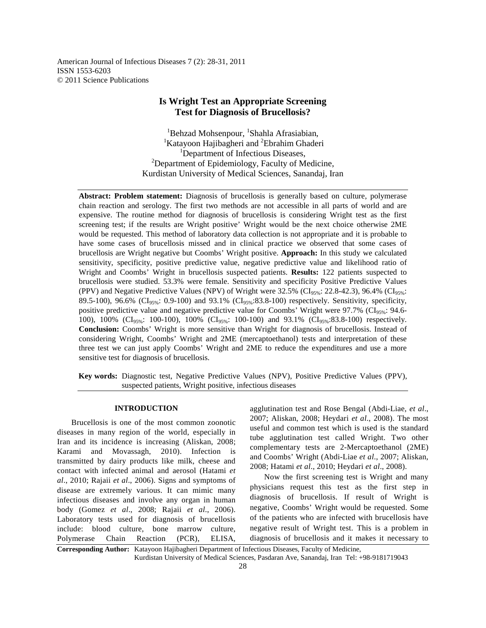American Journal of Infectious Diseases 7 (2): 28-31, 2011 ISSN 1553-6203 © 2011 Science Publications

# **Is Wright Test an Appropriate Screening Test for Diagnosis of Brucellosis?**

<sup>1</sup>Behzad Mohsenpour, <sup>1</sup>Shahla Afrasiabian, <sup>1</sup>Katayoon Hajibagheri and <sup>2</sup>Ebrahim Ghaderi <sup>1</sup>Department of Infectious Diseases,  $2D$ epartment of Epidemiology, Faculty of Medicine, Kurdistan University of Medical Sciences, Sanandaj, Iran

**Abstract: Problem statement:** Diagnosis of brucellosis is generally based on culture, polymerase chain reaction and serology. The first two methods are not accessible in all parts of world and are expensive. The routine method for diagnosis of brucellosis is considering Wright test as the first screening test; if the results are Wright positive' Wright would be the next choice otherwise 2ME would be requested. This method of laboratory data collection is not appropriate and it is probable to have some cases of brucellosis missed and in clinical practice we observed that some cases of brucellosis are Wright negative but Coombs' Wright positive. **Approach:** In this study we calculated sensitivity, specificity, positive predictive value, negative predictive value and likelihood ratio of Wright and Coombs' Wright in brucellosis suspected patients. **Results:** 122 patients suspected to brucellosis were studied. 53.3% were female. Sensitivity and specificity Positive Predictive Values (PPV) and Negative Predictive Values (NPV) of Wright were  $32.5\%$  (CI<sub>95%</sub>: 22.8-42.3), 96.4% (CI<sub>95%</sub>: 89.5-100), 96.6% (CI<sub>95%</sub>: 0.9-100) and 93.1% (CI<sub>95%</sub>:83.8-100) respectively. Sensitivity, specificity, positive predictive value and negative predictive value for Coombs' Wright were 97.7% ( $CI_{95\%}$ : 94.6-100), 100% ( $CI_{95\%}$ : 100-100), 100% ( $CI_{95\%}$ : 100-100) and 93.1% ( $CI_{95\%}$ :83.8-100) respectively. **Conclusion:** Coombs' Wright is more sensitive than Wright for diagnosis of brucellosis. Instead of considering Wright, Coombs' Wright and 2ME (mercaptoethanol) tests and interpretation of these three test we can just apply Coombs' Wright and 2ME to reduce the expenditures and use a more sensitive test for diagnosis of brucellosis.

**Key words:** Diagnostic test, Negative Predictive Values (NPV), Positive Predictive Values (PPV), suspected patients, Wright positive, infectious diseases

#### **INTRODUCTION**

 Brucellosis is one of the most common zoonotic diseases in many region of the world, especially in Iran and its incidence is increasing (Aliskan, 2008; Karami and Movassagh, 2010). Infection is transmitted by dairy products like milk, cheese and contact with infected animal and aerosol (Hatami *et al*., 2010; Rajaii *et al*., 2006). Signs and symptoms of disease are extremely various. It can mimic many infectious diseases and involve any organ in human body (Gomez *et al*., 2008; Rajaii *et al*., 2006). Laboratory tests used for diagnosis of brucellosis include: blood culture, bone marrow culture, Polymerase Chain Reaction (PCR), ELISA, agglutination test and Rose Bengal (Abdi-Liae, *et al*., 2007; Aliskan, 2008; Heydari *et al*., 2008). The most useful and common test which is used is the standard tube agglutination test called Wright. Two other complementary tests are 2-Mercaptoethanol (2ME) and Coombs' Wright (Abdi-Liae *et al*., 2007; Aliskan, 2008; Hatami *et al*., 2010; Heydari *et al*., 2008).

 Now the first screening test is Wright and many physicians request this test as the first step in diagnosis of brucellosis. If result of Wright is negative, Coombs' Wright would be requested. Some of the patients who are infected with brucellosis have negative result of Wright test. This is a problem in diagnosis of brucellosis and it makes it necessary to

**Corresponding Author:** Katayoon Hajibagheri Department of Infectious Diseases, Faculty of Medicine, Kurdistan University of Medical Sciences, Pasdaran Ave, Sanandaj, Iran Tel: +98-9181719043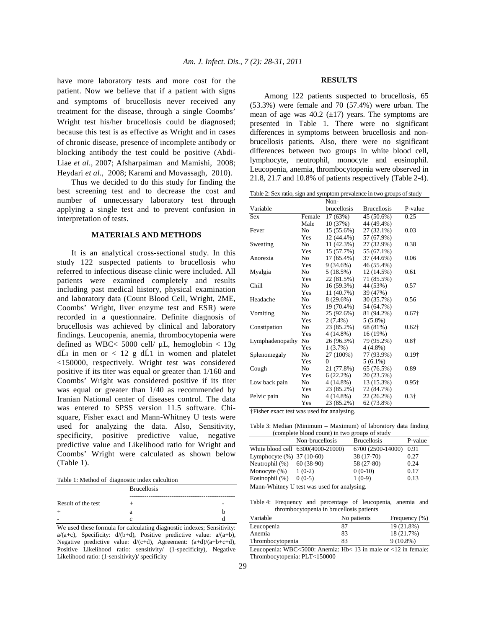have more laboratory tests and more cost for the patient. Now we believe that if a patient with signs and symptoms of brucellosis never received any treatment for the disease, through a single Coombs' Wright test his/her brucellosis could be diagnosed; because this test is as effective as Wright and in cases of chronic disease, presence of incomplete antibody or blocking antibody the test could be positive (Abdi-Liae *et al*., 2007; Afsharpaiman and Mamishi, 2008; Heydari *et al*., 2008; Karami and Movassagh, 2010).

 Thus we decided to do this study for finding the best screening test and to decrease the cost and number of unnecessary laboratory test through applying a single test and to prevent confusion in interpretation of tests.

## **MATERIALS AND METHODS**

 It is an analytical cross-sectional study. In this study 122 suspected patients to brucellosis who referred to infectious disease clinic were included. All patients were examined completely and results including past medical history, physical examination and laboratory data (Count Blood Cell, Wright, 2ME, Coombs' Wright, liver enzyme test and ESR) were recorded in a questionnaire. Definite diagnosis of brucellosis was achieved by clinical and laboratory findings. Leucopenia, anemia, thrombocytopenia were defined as WBC< 5000 cell/  $\mu$ L, hemoglobin < 13g dL1 in men or < 12 g dL1 in women and platelet <150000, respectively. Wright test was considered positive if its titer was equal or greater than 1/160 and Coombs' Wright was considered positive if its titer was equal or greater than 1/40 as recommended by Iranian National center of diseases control. The data was entered to SPSS version 11.5 software. Chisquare, Fisher exact and Mann-Whitney U tests were used for analyzing the data. Also, Sensitivity, specificity, positive predictive value, negative predictive value and Likelihood ratio for Wright and Coombs' Wright were calculated as shown below (Table 1).

Table 1: Method of diagnostic index calcultion

|                    | <b>Brucellosis</b> |  |  |
|--------------------|--------------------|--|--|
| Result of the test |                    |  |  |
|                    |                    |  |  |
|                    |                    |  |  |
|                    |                    |  |  |

We used these formula for calculating diagnostic indexes; Sensitivity: a/(a+c), Specificity: d/(b+d), Positive predictive value: a/(a+b), Negative predictive value: d/(c+d), Agreement: (a+d)/(a+b+c+d), Positive Likelihood ratio: sensitivity (1-specificity), Negative Likelihood ratio: (1-sensitivity)/ specificity

#### **RESULTS**

 Among 122 patients suspected to brucellosis, 65 (53.3%) were female and 70 (57.4%) were urban. The mean of age was  $40.2$  ( $\pm$ 17) years. The symptoms are presented in Table 1. There were no significant differences in symptoms between brucellosis and nonbrucellosis patients. Also, there were no significant differences between two groups in white blood cell, lymphocyte, neutrophil, monocyte and eosinophil. Leucopenia, anemia, thrombocytopenia were observed in 21.8, 21.7 and 10.8% of patients respectively (Table 2-4).

Table 2: Sex ratio, sign and symptom prevalence in two groups of study

|                 |            | Non-               |                    |               |
|-----------------|------------|--------------------|--------------------|---------------|
| Variable        |            | <b>brucellosis</b> | <b>Brucellosis</b> | P-value       |
| <b>Sex</b>      | Female     | 17 (63%)           | 45 (50.6%)         | 0.25          |
|                 | Male       | 10 (37%)           | 44 (49.4%)         |               |
| Fever           | No         | 15 (55.6%)         | 27 (32.1%)         | 0.03          |
|                 | <b>Yes</b> | 12 (44.4%)         | 57 (67.9%)         |               |
| Sweating        | No         | 11 (42.3%)         | 27 (32.9%)         | 0.38          |
|                 | Yes        | 15 (57.7%)         | 55 (67.1%)         |               |
| Anorexia        | No         | 17 (65.4%)         | 37 (44.6%)         | 0.06          |
|                 | <b>Yes</b> | 9(34.6%)           | 46 (55.4%)         |               |
| Myalgia         | No         | 5(18.5%)           | 12 (14.5%)         | 0.61          |
|                 | <b>Yes</b> | 22 (81.5%)         | 71 (85.5%)         |               |
| Chill           | No         | 16 (59.3%)         | 44 (53%)           | 0.57          |
|                 | <b>Yes</b> | 11 (40.7%)         | 39 (47%)           |               |
| Headache        | No         | $8(29.6\%)$        | 30 (35.7%)         | 0.56          |
|                 | Yes        | 19 (70.4%)         | 54 (64.7%)         |               |
| Vomiting        | No.        | 25 (92.6%)         | 81 (94.2%)         | $0.67\dagger$ |
|                 | <b>Yes</b> | $2(7.4\%)$         | $5(5.8\%)$         |               |
| Constipation    | No         | 23 (85.2%)         | 68 (81%)           | $0.62\dagger$ |
|                 | Yes        | $4(14.8\%)$        | 16 (19%)           |               |
| Lymphadenopathy | No         | 26 (96.3%)         | 79 (95.2%)         | $0.8 +$       |
|                 | Yes        | $1(3.7\%)$         | $4(4.8\%)$         |               |
| Splenomegaly    | No         | 27 (100%)          | 77 (93.9%)         | $0.19\dagger$ |
|                 | Yes        | $\Omega$           | $5(6.1\%)$         |               |
| Cough           | No         | 21 (77.8%)         | 65 (76.5%)         | 0.89          |
|                 | Yes        | 6(22.2%)           | 20 (23.5%)         |               |
| Low back pain   | No         | $4(14.8\%)$        | 13 (15.3%)         | $0.95\dagger$ |
|                 | Yes        | 23 (85.2%)         | 72 (84.7%)         |               |
| Pelvic pain     | No         | $4(14.8\%)$        | 22 (26.2%)         | $0.3\dagger$  |
|                 | Yes        | 23 (85.2%)         | 62 (73.8%)         |               |

†Fisher exact test was used for analysing.

Table 3: Median (Minimum – Maximum) of laboratory data finding (complete blood count) in two groups of study

|                           | Non-brucellosis                   | <b>Brucellosis</b> | P-value |
|---------------------------|-----------------------------------|--------------------|---------|
|                           | White blood cell 6300(4000-21000) | 6700 (2500-14000)  | 0.91    |
| Lymphocyte (%) 37 (10-60) |                                   | 38 (17-70)         | 0.27    |
| Neutrophil (%)            | $60(38-90)$                       | 58 (27-80)         | 0.24    |
| Monocyte $(\%)$           | $1(0-2)$                          | $0(0-10)$          | 0.17    |
| Eosinophil (%)            | $0(0-5)$                          | $1(0-9)$           | 0.13    |

Mann-Whitney U test was used for analysing.

Table 4: Frequency and percentage of leucopenia, anemia and thrombocytopenia in brucellosis patients

| Variable         | No patients | Frequency $(\%)$ |
|------------------|-------------|------------------|
| Leucopenia       | 87          | 19 (21.8%)       |
| Anemia           | 83          | 18 (21.7%)       |
| Thrombocytopenia | 83          | $9(10.8\%)$      |

Leucopenia: WBC<5000: Anemia: Hb< 13 in male or <12 in female: Thrombocytopenia: PLT<150000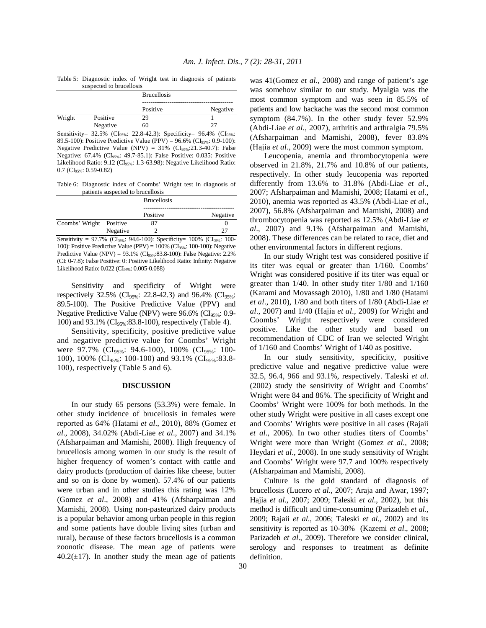Table 5: Diagnostic index of Wright test in diagnosis of patients suspected to brucellosis

| ------ |          |                    |          |
|--------|----------|--------------------|----------|
|        |          | <b>Brucellosis</b> |          |
|        |          | Positive           | Negative |
|        |          |                    |          |
| Wright | Positive | 29                 |          |
|        | Negative | 60                 | 77       |

Sensitivity= 32.5% (CI<sub>95%</sub>: 22.8-42.3): Specificity= 96.4% (CI<sub>95%</sub>: 89.5-100): Positive Predictive Value (PPV) = 96.6% (CI<sub>95%</sub>: 0.9-100): Negative Predictive Value (NPV) =  $31\%$  (CI<sub>95%</sub>:21.3-40.7): False Negative: 67.4% (CI95%: 49.7-85.1): False Positive: 0.035: Positive Likelihood Ratio: 9.12 (CI<sub>95%</sub>: 1.3-63.98): Negative Likelihood Ratio: 0.7 (CI95%: 0.59-0.82)

Table 6: Diagnostic index of Coombs' Wright test in diagnosis of patients suspected to brucellosis

|                         |          | <b>Brucellosis</b> |          |
|-------------------------|----------|--------------------|----------|
|                         |          | Positive           | Negative |
| Coombs' Wright Positive |          | 87                 |          |
|                         | Negative |                    |          |

Sensitivity = 97.7% (CI<sub>95%</sub>: 94.6-100): Specificity= 100% (CI<sub>95%</sub>: 100-100): Positive Predictive Value (PPV) =  $100\%$  (CI<sub>95%</sub>: 100-100): Negative Predictive Value (NPV) =  $93.1\%$  (CI<sub>95%</sub>:83.8-100): False Negative: 2.2% (CI: 0-7.8): False Positive: 0: Positive Likelihood Ratio: Infinity: Negative Likelihood Ratio: 0.022 (CI95%: 0.005-0.088)

 Sensitivity and specificity of Wright were respectively 32.5% (CI<sub>95%</sub>: 22.8-42.3) and 96.4% (CI<sub>95%</sub>: 89.5-100). The Positive Predictive Value (PPV) and Negative Predictive Value (NPV) were  $96.6\%$  (CI<sub>95%</sub>: 0.9-100) and 93.1% (CI<sub>95%</sub>:83.8-100), respectively (Table 4).

 Sensitivity, specificity, positive predictive value and negative predictive value for Coombs' Wright were 97.7% ( $CI_{95\%}$ : 94.6-100), 100% ( $CI_{95\%}$ : 100-100), 100% (CI<sub>95%</sub>: 100-100) and 93.1% (CI<sub>95%</sub>:83.8-100), respectively (Table 5 and 6).

#### **DISCUSSION**

 In our study 65 persons (53.3%) were female. In other study incidence of brucellosis in females were reported as 64% (Hatami *et al*., 2010), 88% (Gomez *et al*., 2008), 34.02% (Abdi-Liae *et al*., 2007) and 34.1% (Afsharpaiman and Mamishi, 2008). High frequency of brucellosis among women in our study is the result of higher frequency of women's contact with cattle and dairy products (production of dairies like cheese, butter and so on is done by women). 57.4% of our patients were urban and in other studies this rating was 12% (Gomez *et al*., 2008) and 41% (Afsharpaiman and Mamishi, 2008). Using non-pasteurized dairy products is a popular behavior among urban people in this region and some patients have double living sites (urban and rural), because of these factors brucellosis is a common zoonotic disease. The mean age of patients were  $40.2(\pm 17)$ . In another study the mean age of patients was 41(Gomez *et al*., 2008) and range of patient's age was somehow similar to our study. Myalgia was the most common symptom and was seen in 85.5% of patients and low backache was the second most common symptom (84.7%). In the other study fever 52.9% (Abdi-Liae *et al*., 2007), arthritis and arthralgia 79.5% (Afsharpaiman and Mamishi, 2008), fever 83.8% (Hajia *et al*., 2009) were the most common symptom.

 Leucopenia, anemia and thrombocytopenia were observed in 21.8%, 21.7% and 10.8% of our patients, respectively. In other study leucopenia was reported differently from 13.6% to 31.8% (Abdi-Liae *et al*., 2007; Afsharpaiman and Mamishi, 2008; Hatami *et al*., 2010), anemia was reported as 43.5% (Abdi-Liae *et al*., 2007), 56.8% (Afsharpaiman and Mamishi, 2008) and thrombocytopenia was reported as 12.5% (Abdi-Liae *et al*., 2007) and 9.1% (Afsharpaiman and Mamishi, 2008). These differences can be related to race, diet and other environmental factors in different regions.

 In our study Wright test was considered positive if its titer was equal or greater than 1/160. Coombs' Wright was considered positive if its titer was equal or greater than 1/40. In other study titer 1/80 and 1/160 (Karami and Movassagh 2010), 1/80 and 1/80 (Hatami *et al*., 2010), 1/80 and both titers of 1/80 (Abdi-Liae *et al*., 2007) and 1/40 (Hajia *et al*., 2009) for Wright and Coombs' Wright respectively were considered positive. Like the other study and based on recommendation of CDC of Iran we selected Wright of 1/160 and Coombs' Wright of 1/40 as positive.

 In our study sensitivity, specificity, positive predictive value and negative predictive value were 32.5, 96.4, 966 and 93.1%, respectively. Taleski *et al*. (2002) study the sensitivity of Wright and Coombs' Wright were 84 and 86%. The specificity of Wright and Coombs' Wright were 100% for both methods. In the other study Wright were positive in all cases except one and Coombs' Wrights were positive in all cases (Rajaii *et al*., 2006). In two other studies titers of Coombs' Wright were more than Wright (Gomez *et al*., 2008; Heydari *et al*., 2008). In one study sensitivity of Wright and Coombs' Wright were 97.7 and 100% respectively (Afsharpaiman and Mamishi, 2008).

 Culture is the gold standard of diagnosis of brucellosis (Lucero *et al*., 2007; Araja and Awar, 1997; Hajia *et al*., 2007; 2009; Taleski *et al*., 2002), but this method is difficult and time-consuming (Parizadeh *et al*., 2009; Rajaii *et al*., 2006; Taleski *et al*., 2002) and its sensitivity is reported as 10-30% (Kazemi *et al*., 2008; Parizadeh *et al*., 2009). Therefore we consider clinical, serology and responses to treatment as definite definition.